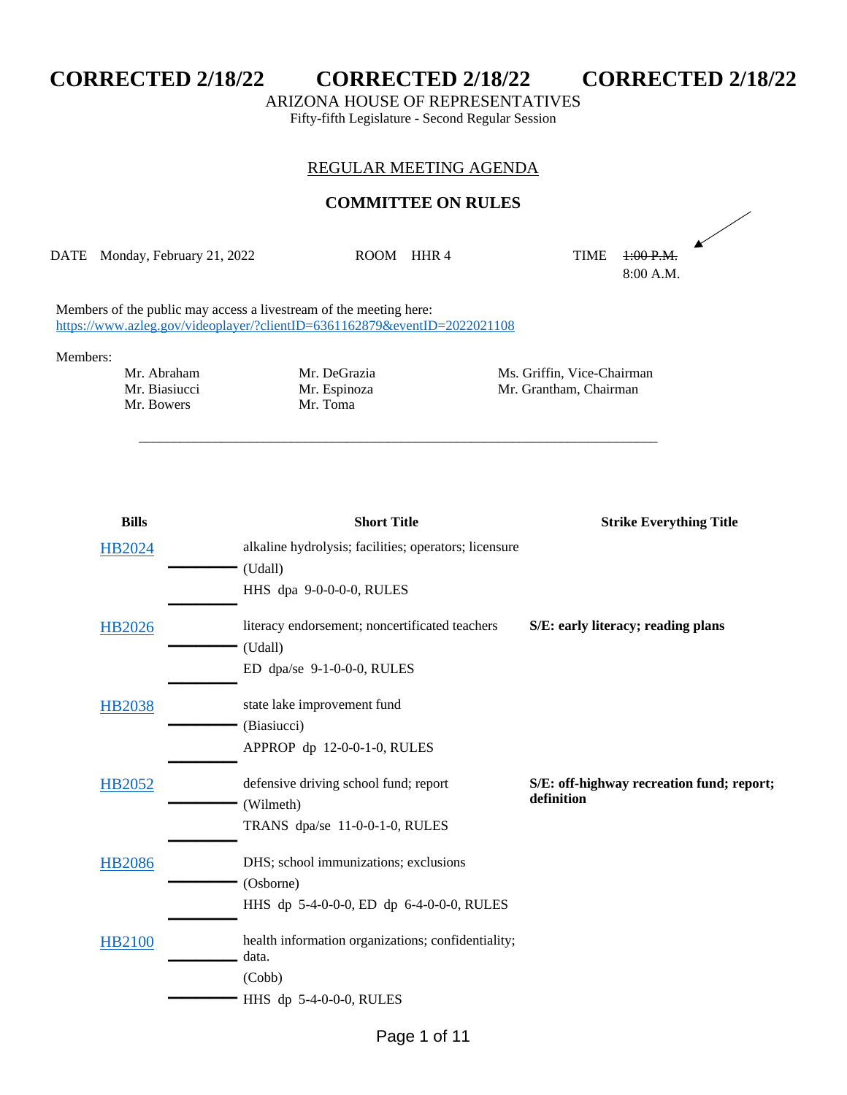

ARIZONA HOUSE OF REPRESENTATIVES

Fifty-fifth Legislature - Second Regular Session

## REGULAR MEETING AGENDA

## **COMMITTEE ON RULES**

DATE Monday, February 21, 2022 ROOM HHR 4 TIME 1:00 P.M.

\_\_\_\_\_\_\_\_\_\_\_\_\_\_\_\_\_\_\_\_\_\_\_\_\_\_\_\_\_\_\_\_\_\_\_\_\_\_\_\_\_\_\_\_\_\_\_\_\_\_\_\_\_\_\_\_\_\_\_\_\_\_\_\_\_\_\_\_\_\_\_\_\_\_\_

A 8:00 A.M.

Members of the public may access a livestream of the meeting here: <https://www.azleg.gov/videoplayer/?clientID=6361162879&eventID=2022021108>

## Members:

Mr. Biasiucci Mr. Espinoza Mr. Grantham, Chairman Mr. Bowers Mr. Toma Mr. Bowers

Mr. Abraham Mr. DeGrazia Mr. Ms. Griffin, Vice-Chairman<br>Mr. Biasiucci Mr. Espinoza Mr. Grantham, Chairman

| <b>Short Title</b>                                               | <b>Strike Everything Title</b>            |
|------------------------------------------------------------------|-------------------------------------------|
| alkaline hydrolysis; facilities; operators; licensure<br>(Udall) |                                           |
| HHS dpa 9-0-0-0-0, RULES                                         |                                           |
| literacy endorsement; noncertificated teachers                   | S/E: early literacy; reading plans        |
|                                                                  |                                           |
| ED dpa/se 9-1-0-0-0, RULES                                       |                                           |
| state lake improvement fund                                      |                                           |
| (Biasiucci)                                                      |                                           |
| APPROP dp 12-0-0-1-0, RULES                                      |                                           |
| defensive driving school fund; report                            | S/E: off-highway recreation fund; report; |
| (Wilmeth)                                                        | definition                                |
| TRANS dpa/se 11-0-0-1-0, RULES                                   |                                           |
| DHS; school immunizations; exclusions                            |                                           |
| (Osborne)                                                        |                                           |
| HHS dp 5-4-0-0-0, ED dp 6-4-0-0-0, RULES                         |                                           |
| health information organizations; confidentiality;               |                                           |
|                                                                  |                                           |
|                                                                  |                                           |
| HHS dp 5-4-0-0-0, RULES                                          |                                           |
|                                                                  | (Udall)<br>data.<br>(Cobb)                |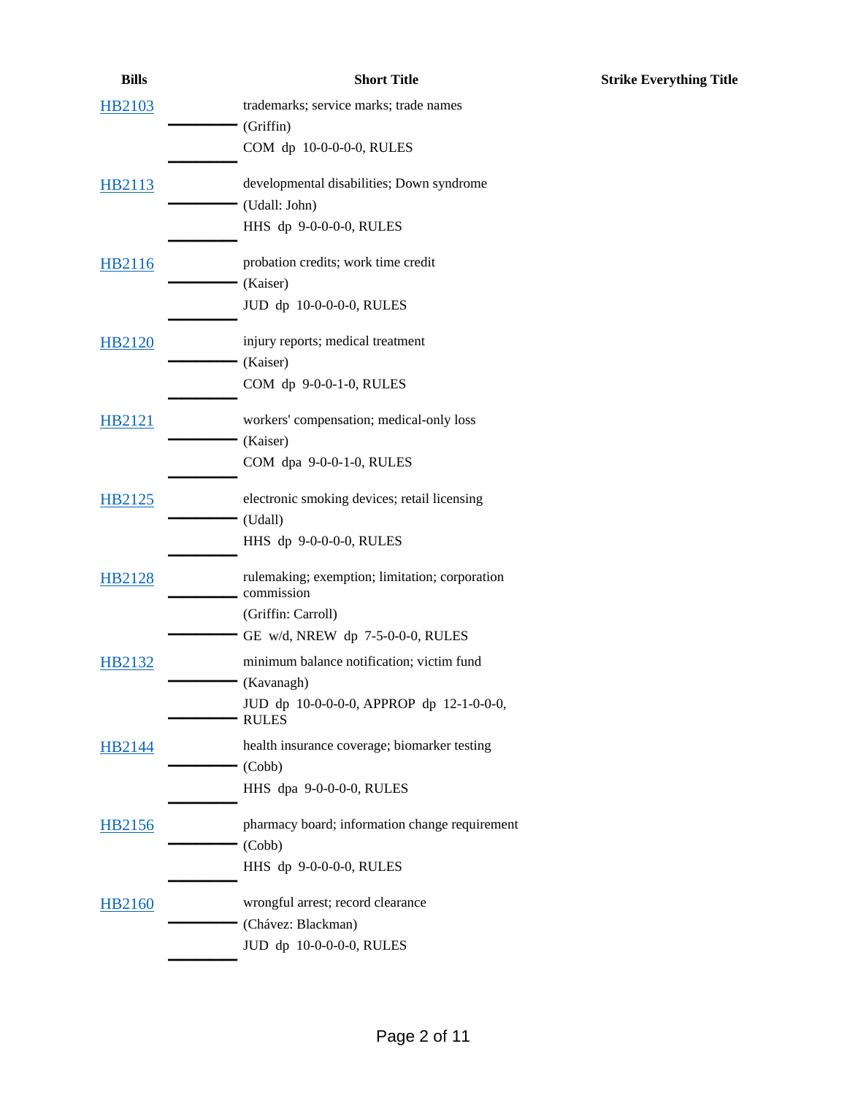| <b>Bills</b>  | <b>Short Title</b>                                           | <b>Strike Everything Title</b> |
|---------------|--------------------------------------------------------------|--------------------------------|
| <b>HB2103</b> | trademarks; service marks; trade names                       |                                |
|               | (Griffin)                                                    |                                |
|               | COM dp 10-0-0-0-0, RULES                                     |                                |
| HB2113        | developmental disabilities; Down syndrome                    |                                |
|               | (Udall: John)                                                |                                |
|               | HHS dp 9-0-0-0-0, RULES                                      |                                |
| HB2116        | probation credits; work time credit                          |                                |
|               | (Kaiser)                                                     |                                |
|               | JUD dp 10-0-0-0-0, RULES                                     |                                |
| <b>HB2120</b> | injury reports; medical treatment                            |                                |
|               | (Kaiser)                                                     |                                |
|               | COM dp 9-0-0-1-0, RULES                                      |                                |
| <b>HB2121</b> | workers' compensation; medical-only loss                     |                                |
|               | (Kaiser)                                                     |                                |
|               | COM dpa 9-0-0-1-0, RULES                                     |                                |
| HB2125        | electronic smoking devices; retail licensing                 |                                |
|               | (Udall)                                                      |                                |
|               | HHS dp 9-0-0-0-0, RULES                                      |                                |
| <b>HB2128</b> | rulemaking; exemption; limitation; corporation<br>commission |                                |
|               | (Griffin: Carroll)                                           |                                |
|               | GE w/d, NREW dp 7-5-0-0-0, RULES                             |                                |
| HB2132        | minimum balance notification; victim fund                    |                                |
|               | (Kavanagh)                                                   |                                |
|               | JUD dp 10-0-0-0-0, APPROP dp 12-1-0-0-0,<br><b>RULES</b>     |                                |
| HB2144        | health insurance coverage; biomarker testing                 |                                |
|               | (Cobb)                                                       |                                |
|               | HHS dpa 9-0-0-0-0, RULES                                     |                                |
| <b>HB2156</b> | pharmacy board; information change requirement               |                                |
|               | (Cobb)                                                       |                                |
|               | HHS dp 9-0-0-0-0, RULES                                      |                                |
| <b>HB2160</b> | wrongful arrest; record clearance                            |                                |
|               | (Chávez: Blackman)                                           |                                |
|               | JUD dp 10-0-0-0-0, RULES                                     |                                |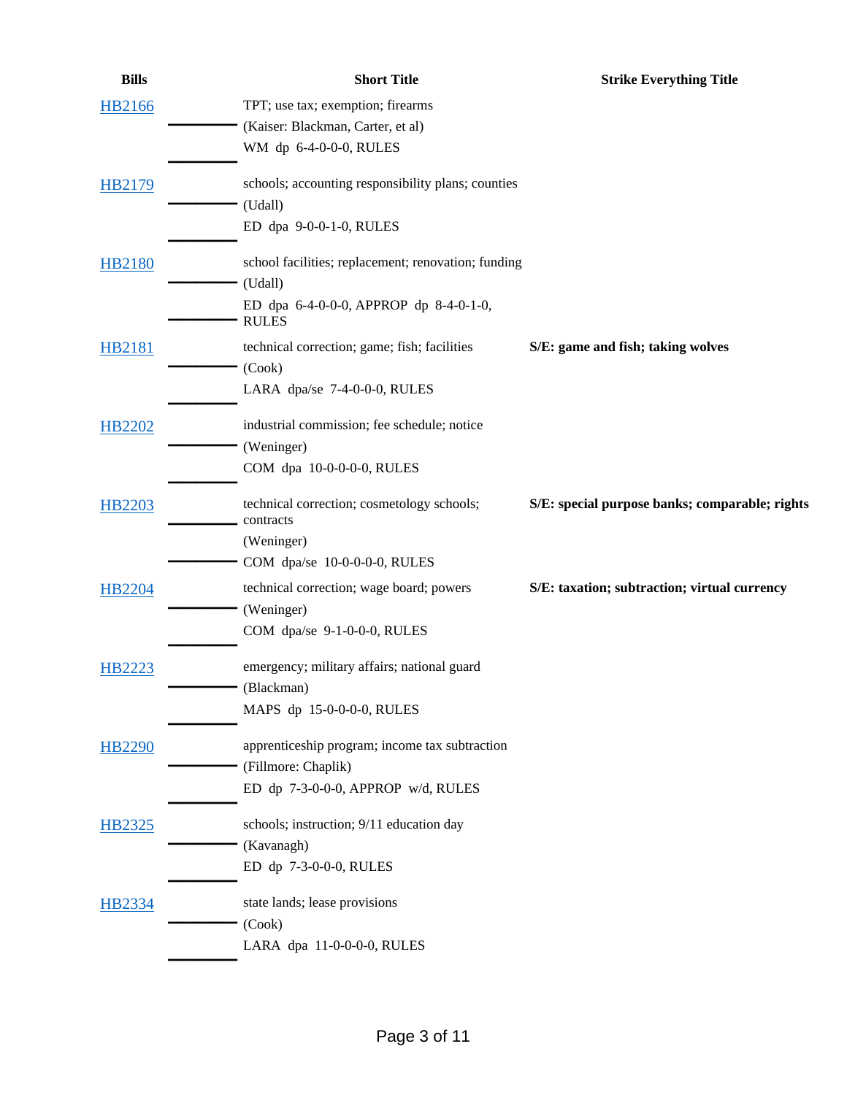| <b>Bills</b>  | <b>Short Title</b>                                      | <b>Strike Everything Title</b>                 |
|---------------|---------------------------------------------------------|------------------------------------------------|
| <b>HB2166</b> | TPT; use tax; exemption; firearms                       |                                                |
|               | (Kaiser: Blackman, Carter, et al)                       |                                                |
|               | WM dp 6-4-0-0-0, RULES                                  |                                                |
| <b>HB2179</b> | schools; accounting responsibility plans; counties      |                                                |
|               | (Udall)                                                 |                                                |
|               | ED dpa 9-0-0-1-0, RULES                                 |                                                |
| <b>HB2180</b> | school facilities; replacement; renovation; funding     |                                                |
|               | (Udall)                                                 |                                                |
|               | ED dpa 6-4-0-0-0, APPROP dp 8-4-0-1-0,<br><b>RULES</b>  |                                                |
| HB2181        | technical correction; game; fish; facilities            | S/E: game and fish; taking wolves              |
|               | (Cook)                                                  |                                                |
|               | LARA dpa/se 7-4-0-0-0, RULES                            |                                                |
| HB2202        | industrial commission; fee schedule; notice             |                                                |
|               | (Weninger)                                              |                                                |
|               | COM dpa 10-0-0-0-0, RULES                               |                                                |
| HB2203        | technical correction; cosmetology schools;<br>contracts | S/E: special purpose banks; comparable; rights |
|               | (Weninger)                                              |                                                |
|               | COM dpa/se 10-0-0-0-0, RULES                            |                                                |
|               |                                                         |                                                |
| HB2204        | technical correction; wage board; powers                | S/E: taxation; subtraction; virtual currency   |
|               | (Weninger)                                              |                                                |
|               | COM dpa/se 9-1-0-0-0, RULES                             |                                                |
| HB2223        | emergency; military affairs; national guard             |                                                |
|               | (Blackman)                                              |                                                |
|               | MAPS dp 15-0-0-0-0, RULES                               |                                                |
| <b>HB2290</b> | apprenticeship program; income tax subtraction          |                                                |
|               | (Fillmore: Chaplik)                                     |                                                |
|               | ED dp 7-3-0-0-0, APPROP w/d, RULES                      |                                                |
| <b>HB2325</b> | schools; instruction; 9/11 education day                |                                                |
|               | (Kavanagh)                                              |                                                |
|               | ED dp 7-3-0-0-0, RULES                                  |                                                |
| <b>HB2334</b> | state lands; lease provisions                           |                                                |
|               | (Cook)                                                  |                                                |
|               | LARA dpa 11-0-0-0-0, RULES                              |                                                |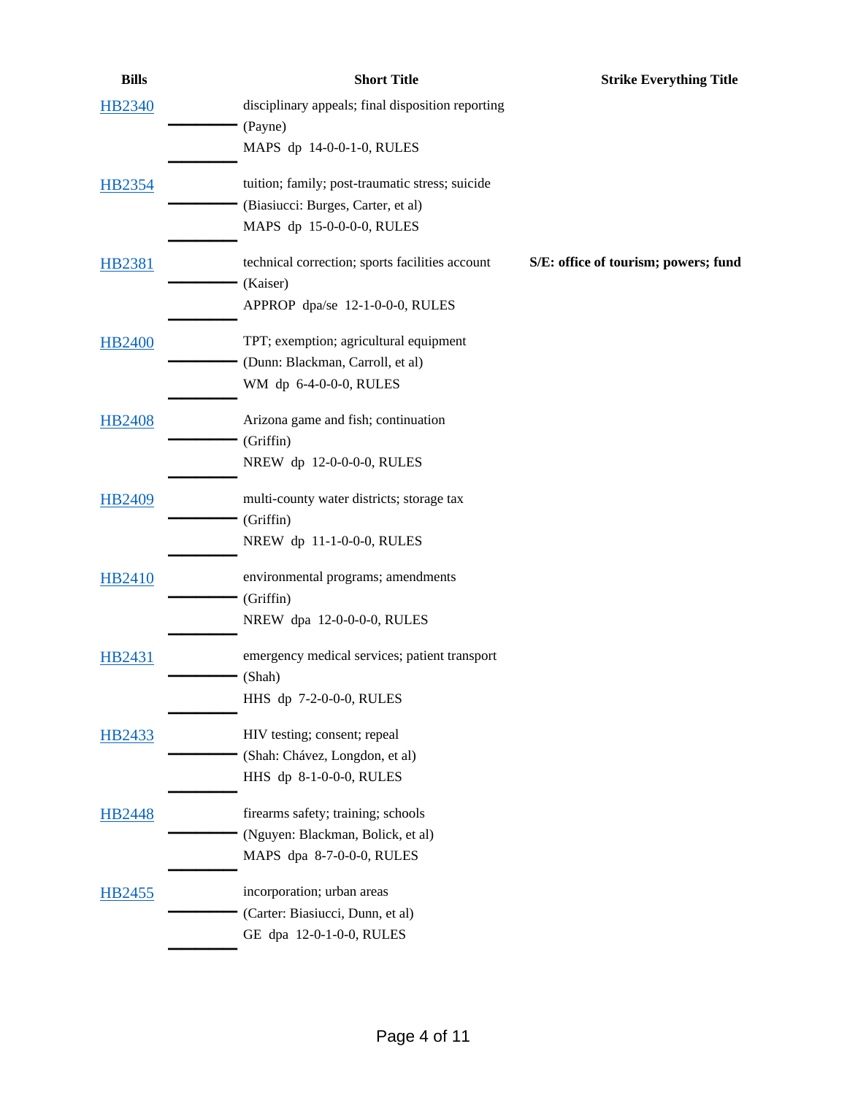| <b>Bills</b>  | <b>Short Title</b>                                | <b>Strike Everything Title</b>       |
|---------------|---------------------------------------------------|--------------------------------------|
| <b>HB2340</b> | disciplinary appeals; final disposition reporting |                                      |
|               | (Payne)                                           |                                      |
|               | MAPS dp 14-0-0-1-0, RULES                         |                                      |
| <b>HB2354</b> | tuition; family; post-traumatic stress; suicide   |                                      |
|               | (Biasiucci: Burges, Carter, et al)                |                                      |
|               | MAPS dp 15-0-0-0-0, RULES                         |                                      |
| HB2381        | technical correction; sports facilities account   | S/E: office of tourism; powers; fund |
|               | (Kaiser)                                          |                                      |
|               | APPROP dpa/se 12-1-0-0-0, RULES                   |                                      |
| <b>HB2400</b> | TPT; exemption; agricultural equipment            |                                      |
|               | (Dunn: Blackman, Carroll, et al)                  |                                      |
|               | WM dp 6-4-0-0-0, RULES                            |                                      |
| <b>HB2408</b> | Arizona game and fish; continuation               |                                      |
|               | (Griffin)                                         |                                      |
|               | NREW dp 12-0-0-0-0, RULES                         |                                      |
| HB2409        | multi-county water districts; storage tax         |                                      |
|               | (Griffin)                                         |                                      |
|               | NREW dp 11-1-0-0-0, RULES                         |                                      |
| HB2410        | environmental programs; amendments                |                                      |
|               | (Griffin)                                         |                                      |
|               | NREW dpa 12-0-0-0-0, RULES                        |                                      |
| HB2431        | emergency medical services; patient transport     |                                      |
|               | (Shah)                                            |                                      |
|               | HHS dp 7-2-0-0-0, RULES                           |                                      |
| HB2433        | HIV testing; consent; repeal                      |                                      |
|               | (Shah: Chávez, Longdon, et al)                    |                                      |
|               | HHS dp 8-1-0-0-0, RULES                           |                                      |
| HB2448        | firearms safety; training; schools                |                                      |
|               | (Nguyen: Blackman, Bolick, et al)                 |                                      |
|               | MAPS dpa 8-7-0-0-0, RULES                         |                                      |
| HB2455        | incorporation; urban areas                        |                                      |
|               | (Carter: Biasiucci, Dunn, et al)                  |                                      |
|               | GE dpa 12-0-1-0-0, RULES                          |                                      |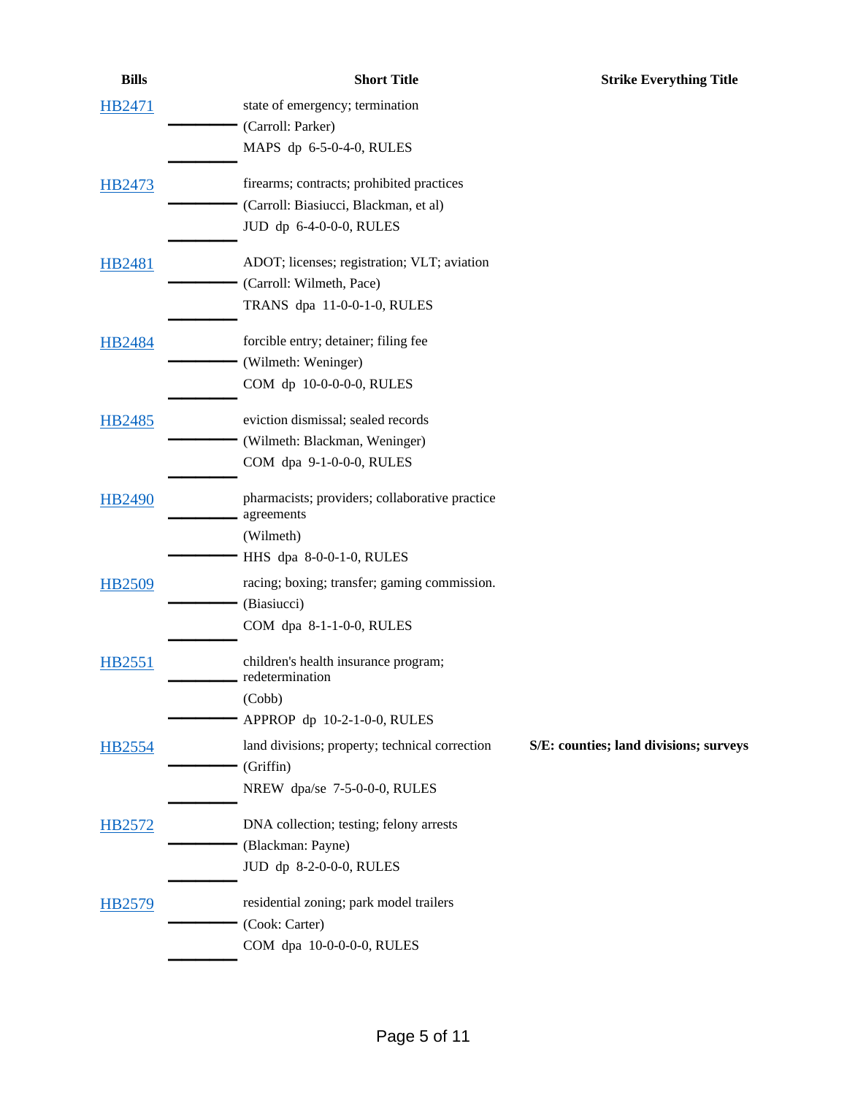| <b>Bills</b>  | <b>Short Title</b>                             | <b>Strike Everything Title</b>         |
|---------------|------------------------------------------------|----------------------------------------|
| HB2471        | state of emergency; termination                |                                        |
|               | (Carroll: Parker)                              |                                        |
|               | MAPS dp 6-5-0-4-0, RULES                       |                                        |
| HB2473        | firearms; contracts; prohibited practices      |                                        |
|               | (Carroll: Biasiucci, Blackman, et al)          |                                        |
|               | JUD dp 6-4-0-0-0, RULES                        |                                        |
| HB2481        | ADOT; licenses; registration; VLT; aviation    |                                        |
|               | (Carroll: Wilmeth, Pace)                       |                                        |
|               | TRANS dpa 11-0-0-1-0, RULES                    |                                        |
| <b>HB2484</b> | forcible entry; detainer; filing fee           |                                        |
|               | (Wilmeth: Weninger)                            |                                        |
|               | COM dp 10-0-0-0-0, RULES                       |                                        |
| HB2485        | eviction dismissal; sealed records             |                                        |
|               | (Wilmeth: Blackman, Weninger)                  |                                        |
|               | COM dpa 9-1-0-0-0, RULES                       |                                        |
| HB2490        | pharmacists; providers; collaborative practice |                                        |
|               | agreements<br>(Wilmeth)                        |                                        |
|               | HHS dpa 8-0-0-1-0, RULES                       |                                        |
| HB2509        | racing; boxing; transfer; gaming commission.   |                                        |
|               | (Biasiucci)                                    |                                        |
|               | COM dpa 8-1-1-0-0, RULES                       |                                        |
| HB2551        | children's health insurance program;           |                                        |
|               | redetermination                                |                                        |
|               | (Cobb)                                         |                                        |
|               | APPROP dp 10-2-1-0-0, RULES                    |                                        |
| <b>HB2554</b> | land divisions; property; technical correction | S/E: counties; land divisions; surveys |
|               | (Griffin)                                      |                                        |
|               | NREW dpa/se 7-5-0-0-0, RULES                   |                                        |
| HB2572        | DNA collection; testing; felony arrests        |                                        |
|               | (Blackman: Payne)                              |                                        |
|               | JUD dp 8-2-0-0-0, RULES                        |                                        |
| HB2579        | residential zoning; park model trailers        |                                        |
|               | (Cook: Carter)                                 |                                        |
|               | COM dpa 10-0-0-0-0, RULES                      |                                        |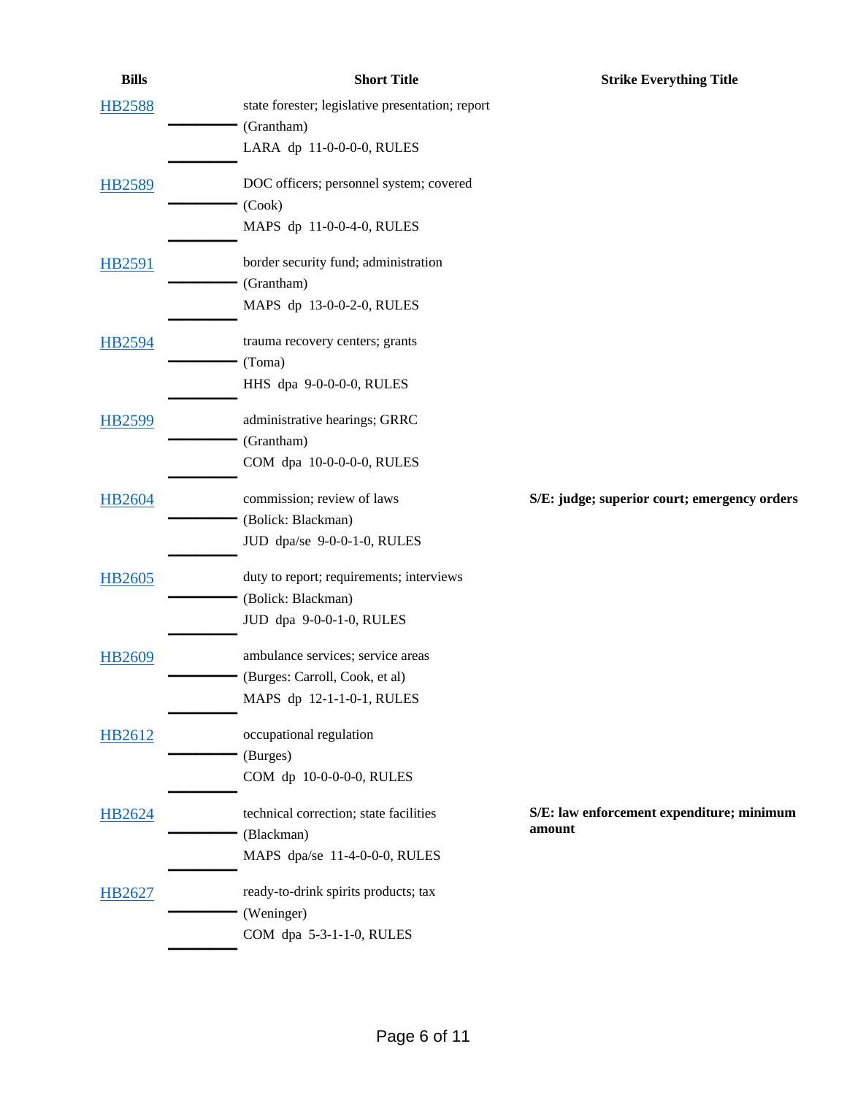| <b>Bills</b>  | <b>Short Title</b>                               | <b>Strike Everything Title</b>               |
|---------------|--------------------------------------------------|----------------------------------------------|
| <b>HB2588</b> | state forester; legislative presentation; report |                                              |
|               | (Grantham)                                       |                                              |
|               | LARA dp 11-0-0-0-0, RULES                        |                                              |
| HB2589        | DOC officers; personnel system; covered          |                                              |
|               | (Cook)                                           |                                              |
|               | MAPS dp 11-0-0-4-0, RULES                        |                                              |
| <b>HB2591</b> | border security fund; administration             |                                              |
|               | (Grantham)                                       |                                              |
|               | MAPS dp 13-0-0-2-0, RULES                        |                                              |
| <b>HB2594</b> | trauma recovery centers; grants                  |                                              |
|               | (Toma)                                           |                                              |
|               | HHS dpa 9-0-0-0-0, RULES                         |                                              |
| <b>HB2599</b> | administrative hearings; GRRC                    |                                              |
|               | (Grantham)                                       |                                              |
|               | COM dpa 10-0-0-0-0, RULES                        |                                              |
| HB2604        | commission; review of laws                       | S/E: judge; superior court; emergency orders |
|               | (Bolick: Blackman)                               |                                              |
|               | JUD dpa/se 9-0-0-1-0, RULES                      |                                              |
| HB2605        | duty to report; requirements; interviews         |                                              |
|               | (Bolick: Blackman)                               |                                              |
|               | JUD dpa 9-0-0-1-0, RULES                         |                                              |
| HB2609        | ambulance services; service areas                |                                              |
|               | (Burges: Carroll, Cook, et al)                   |                                              |
|               | MAPS dp 12-1-1-0-1, RULES                        |                                              |
| HB2612        | occupational regulation                          |                                              |
|               | (Burges)                                         |                                              |
|               | COM dp 10-0-0-0-0, RULES                         |                                              |
| HB2624        | technical correction; state facilities           | S/E: law enforcement expenditure; minimum    |
|               | (Blackman)                                       | amount                                       |
|               | MAPS dpa/se 11-4-0-0-0, RULES                    |                                              |
| HB2627        | ready-to-drink spirits products; tax             |                                              |
|               | (Weninger)                                       |                                              |
|               | COM dpa 5-3-1-1-0, RULES                         |                                              |
|               |                                                  |                                              |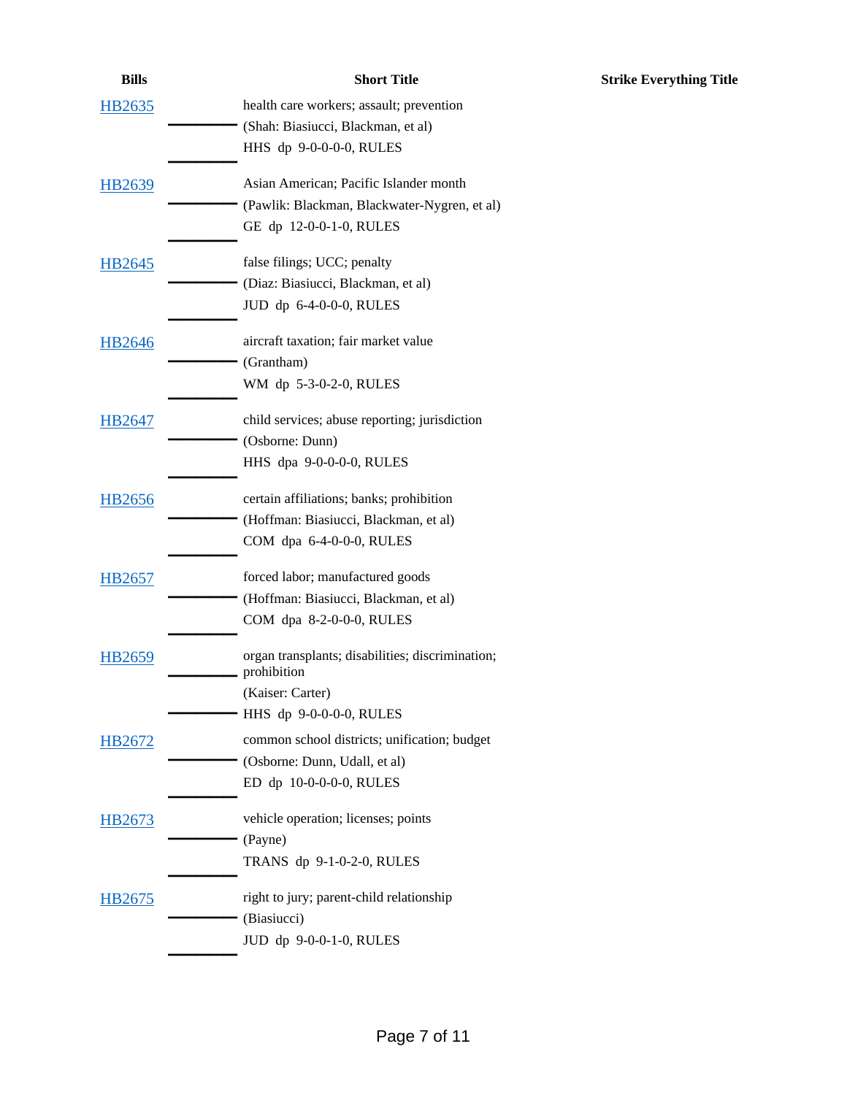| <b>Bills</b> | <b>Short Title</b>                                              | <b>Strike Everything Title</b> |
|--------------|-----------------------------------------------------------------|--------------------------------|
| HB2635       | health care workers; assault; prevention                        |                                |
|              | (Shah: Biasiucci, Blackman, et al)                              |                                |
|              | HHS dp 9-0-0-0-0, RULES                                         |                                |
| HB2639       | Asian American; Pacific Islander month                          |                                |
|              | (Pawlik: Blackman, Blackwater-Nygren, et al)                    |                                |
|              | GE dp 12-0-0-1-0, RULES                                         |                                |
| HB2645       | false filings; UCC; penalty                                     |                                |
|              | (Diaz: Biasiucci, Blackman, et al)                              |                                |
|              | JUD dp 6-4-0-0-0, RULES                                         |                                |
| HB2646       | aircraft taxation; fair market value                            |                                |
|              | (Grantham)                                                      |                                |
|              | WM dp 5-3-0-2-0, RULES                                          |                                |
| HB2647       | child services; abuse reporting; jurisdiction                   |                                |
|              | (Osborne: Dunn)                                                 |                                |
|              | HHS dpa 9-0-0-0-0, RULES                                        |                                |
| HB2656       | certain affiliations; banks; prohibition                        |                                |
|              | (Hoffman: Biasiucci, Blackman, et al)                           |                                |
|              | COM dpa 6-4-0-0-0, RULES                                        |                                |
| HB2657       | forced labor; manufactured goods                                |                                |
|              | (Hoffman: Biasiucci, Blackman, et al)                           |                                |
|              | COM dpa 8-2-0-0-0, RULES                                        |                                |
| HB2659       | organ transplants; disabilities; discrimination;<br>prohibition |                                |
|              | (Kaiser: Carter)                                                |                                |
|              | HHS dp 9-0-0-0-0, RULES                                         |                                |
| HB2672       | common school districts; unification; budget                    |                                |
|              | (Osborne: Dunn, Udall, et al)                                   |                                |
|              | ED dp 10-0-0-0-0, RULES                                         |                                |
| HB2673       | vehicle operation; licenses; points                             |                                |
|              | (Payne)                                                         |                                |
|              | TRANS dp 9-1-0-2-0, RULES                                       |                                |
| HB2675       | right to jury; parent-child relationship                        |                                |
|              | (Biasiucci)                                                     |                                |
|              | JUD dp 9-0-0-1-0, RULES                                         |                                |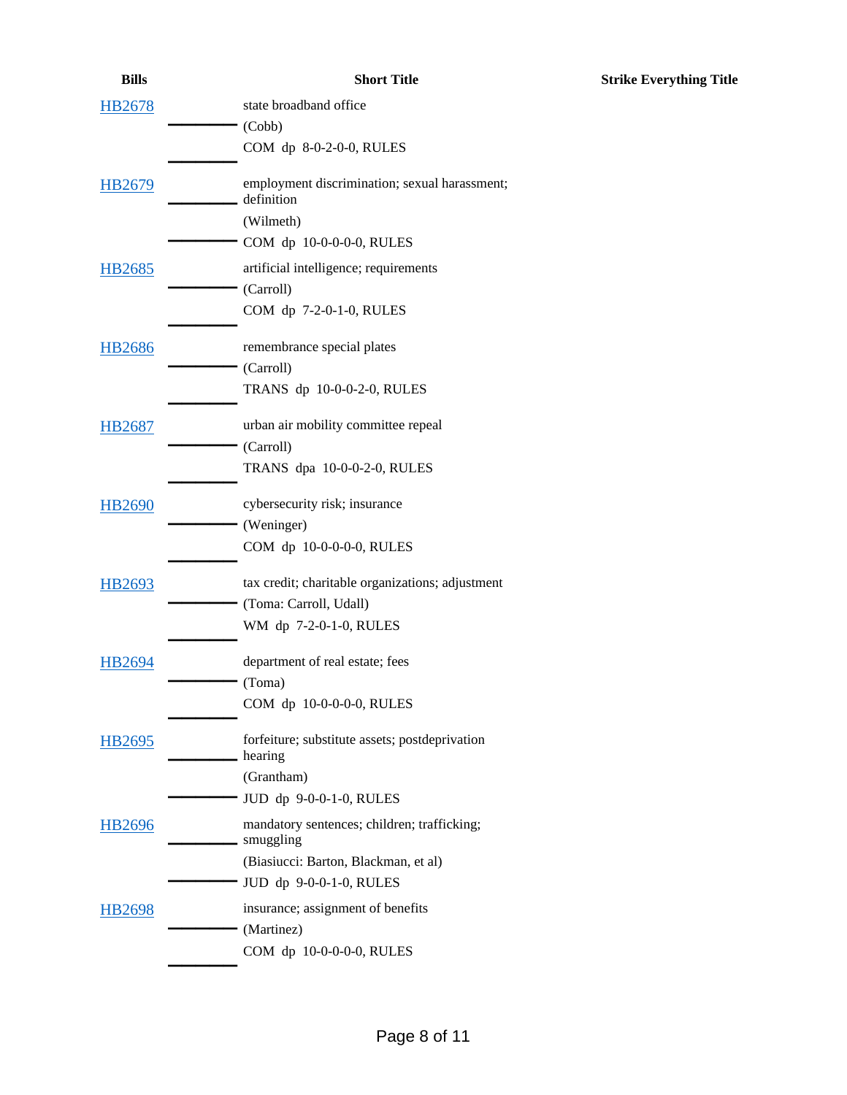| state broadband office                                      |
|-------------------------------------------------------------|
| (Cobb)                                                      |
| COM dp 8-0-2-0-0, RULES                                     |
| employment discrimination; sexual harassment;<br>definition |
| (Wilmeth)                                                   |
| COM dp 10-0-0-0-0, RULES                                    |
| artificial intelligence; requirements                       |
| (Carroll)                                                   |
| COM dp 7-2-0-1-0, RULES                                     |
| remembrance special plates                                  |
| (Carroll)                                                   |
| TRANS dp 10-0-0-2-0, RULES                                  |
| urban air mobility committee repeal                         |
| (Carroll)                                                   |
| TRANS dpa 10-0-0-2-0, RULES                                 |
| cybersecurity risk; insurance                               |
|                                                             |

| HB2690 | cybersecurity risk; insurance |
|--------|-------------------------------|
|        | (Weninger)                    |
|        | COM dp $10-0-0-0$ -0, RULES   |
|        |                               |

[HB2678](https://apps.azleg.gov/BillStatus/BillOverview/77736)

[HB2679](https://apps.azleg.gov/BillStatus/BillOverview/77737)

[HB2685](https://apps.azleg.gov/BillStatus/BillOverview/77744)

[HB2686](https://apps.azleg.gov/BillStatus/BillOverview/77745)

[HB2687](https://apps.azleg.gov/BillStatus/BillOverview/77746)

| HB2693 | tax credit; charitable organizations; adjustment |
|--------|--------------------------------------------------|
|        | (Toma: Carroll, Udall)                           |
|        | WM dp 7-2-0-1-0, RULES                           |
|        |                                                  |

- [HB2694](https://apps.azleg.gov/BillStatus/BillOverview/77755) **\_\_\_\_\_ \_\_\_\_\_** department of real estate; fees (Toma) COM dp 10-0-0-0-0, RULES
- [HB2695](https://apps.azleg.gov/BillStatus/BillOverview/77756) **\_\_\_\_\_ \_\_\_\_\_** forfeiture; substitute assets; postdeprivation hearing (Grantham)
- JUD dp 9-0-0-1-0, RULES [HB2696](https://apps.azleg.gov/BillStatus/BillOverview/77757) **\_\_\_\_\_ \_\_\_\_\_** mandatory sentences; children; trafficking; smuggling (Biasiucci: Barton, Blackman, et al) JUD dp 9-0-0-1-0, RULES [HB2698](https://apps.azleg.gov/BillStatus/BillOverview/77759) **\_\_\_\_\_ \_\_\_\_\_** insurance; assignment of benefits (Martinez) COM dp 10-0-0-0-0, RULES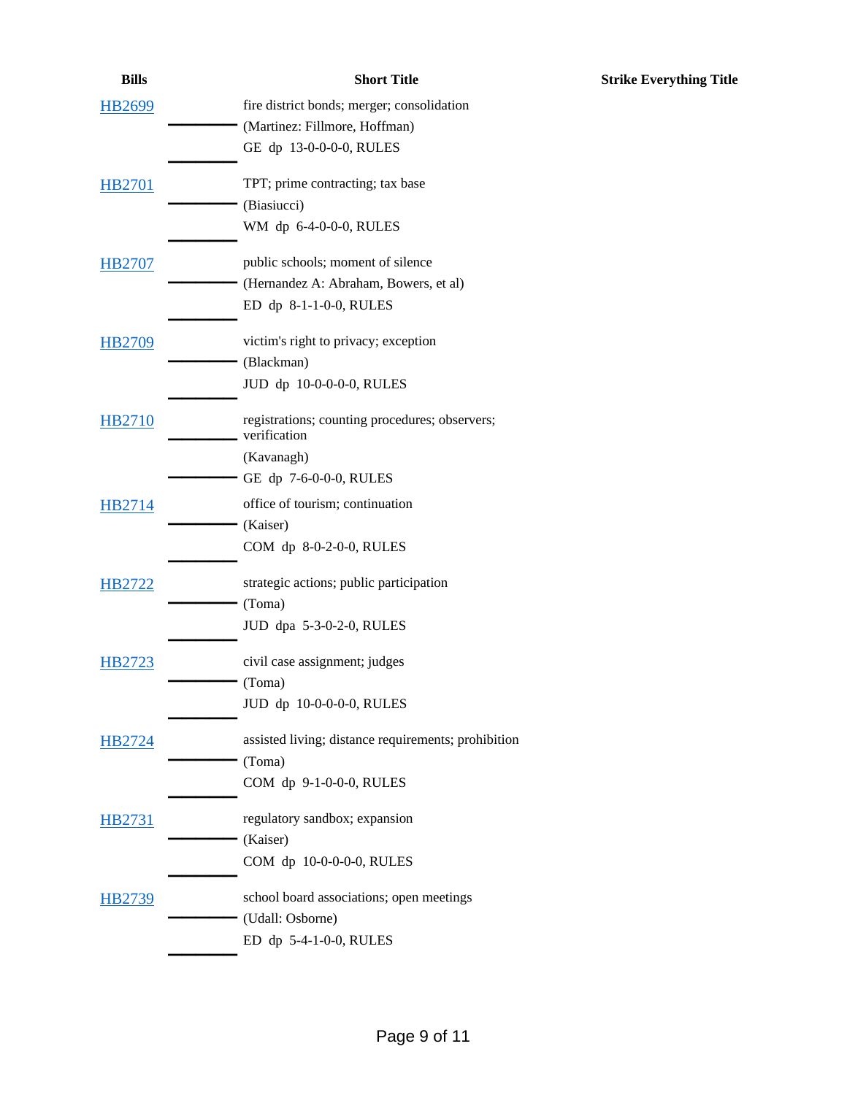| <b>Bills</b>  | <b>Short Title</b>                                             | <b>Strike Everything Title</b> |
|---------------|----------------------------------------------------------------|--------------------------------|
| <b>HB2699</b> | fire district bonds; merger; consolidation                     |                                |
|               | (Martinez: Fillmore, Hoffman)                                  |                                |
|               | GE dp 13-0-0-0-0, RULES                                        |                                |
| <b>HB2701</b> | TPT; prime contracting; tax base                               |                                |
|               | (Biasiucci)                                                    |                                |
|               | WM dp 6-4-0-0-0, RULES                                         |                                |
| <b>HB2707</b> | public schools; moment of silence                              |                                |
|               | (Hernandez A: Abraham, Bowers, et al)                          |                                |
|               | ED dp 8-1-1-0-0, RULES                                         |                                |
| <b>HB2709</b> | victim's right to privacy; exception                           |                                |
|               | (Blackman)                                                     |                                |
|               | JUD dp 10-0-0-0-0, RULES                                       |                                |
| <b>HB2710</b> | registrations; counting procedures; observers;<br>verification |                                |
|               | (Kavanagh)                                                     |                                |
|               | GE dp 7-6-0-0-0, RULES                                         |                                |
| HB2714        | office of tourism; continuation                                |                                |
|               | (Kaiser)                                                       |                                |
|               | COM dp 8-0-2-0-0, RULES                                        |                                |
| HB2722        | strategic actions; public participation                        |                                |
|               | (Toma)                                                         |                                |
|               | JUD dpa 5-3-0-2-0, RULES                                       |                                |
| HB2723        | civil case assignment; judges                                  |                                |
|               | (Toma)                                                         |                                |
|               | JUD dp 10-0-0-0-0, RULES                                       |                                |
| HB2724        | assisted living; distance requirements; prohibition            |                                |
|               | (Toma)                                                         |                                |
|               | COM dp 9-1-0-0-0, RULES                                        |                                |
| HB2731        | regulatory sandbox; expansion                                  |                                |
|               | (Kaiser)                                                       |                                |
|               | COM dp 10-0-0-0-0, RULES                                       |                                |
| HB2739        | school board associations; open meetings                       |                                |
|               | (Udall: Osborne)                                               |                                |
|               | ED dp 5-4-1-0-0, RULES                                         |                                |
|               |                                                                |                                |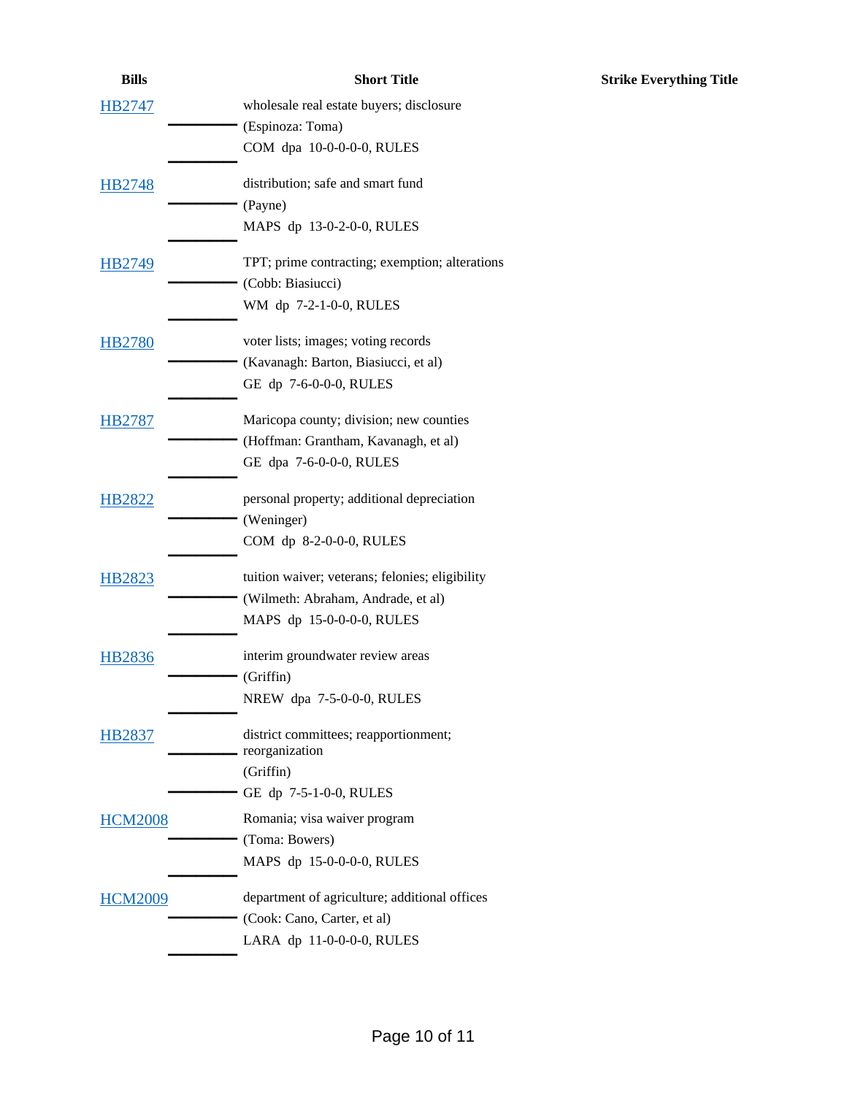| <b>Bills</b>   | <b>Short Title</b>                                      | <b>Strike Everything Title</b> |
|----------------|---------------------------------------------------------|--------------------------------|
| <b>HB2747</b>  | wholesale real estate buyers; disclosure                |                                |
|                | (Espinoza: Toma)                                        |                                |
|                | COM dpa 10-0-0-0-0, RULES                               |                                |
| HB2748         | distribution; safe and smart fund                       |                                |
|                | (Payne)                                                 |                                |
|                | MAPS dp 13-0-2-0-0, RULES                               |                                |
| <b>HB2749</b>  | TPT; prime contracting; exemption; alterations          |                                |
|                | (Cobb: Biasiucci)                                       |                                |
|                | WM dp 7-2-1-0-0, RULES                                  |                                |
| <b>HB2780</b>  | voter lists; images; voting records                     |                                |
|                | (Kavanagh: Barton, Biasiucci, et al)                    |                                |
|                | GE dp 7-6-0-0-0, RULES                                  |                                |
| <b>HB2787</b>  | Maricopa county; division; new counties                 |                                |
|                | (Hoffman: Grantham, Kavanagh, et al)                    |                                |
|                | GE dpa 7-6-0-0-0, RULES                                 |                                |
| <b>HB2822</b>  | personal property; additional depreciation              |                                |
|                | (Weninger)                                              |                                |
|                | COM dp 8-2-0-0-0, RULES                                 |                                |
| <b>HB2823</b>  | tuition waiver; veterans; felonies; eligibility         |                                |
|                | (Wilmeth: Abraham, Andrade, et al)                      |                                |
|                | MAPS dp 15-0-0-0-0, RULES                               |                                |
| <b>HB2836</b>  | interim groundwater review areas                        |                                |
|                | (Griffin)                                               |                                |
|                | NREW dpa 7-5-0-0-0, RULES                               |                                |
| <b>HB2837</b>  | district committees; reapportionment;<br>reorganization |                                |
|                | (Griffin)                                               |                                |
|                | GE dp 7-5-1-0-0, RULES                                  |                                |
| <b>HCM2008</b> | Romania; visa waiver program                            |                                |
|                | (Toma: Bowers)                                          |                                |
|                | MAPS dp 15-0-0-0-0, RULES                               |                                |
| <b>HCM2009</b> | department of agriculture; additional offices           |                                |
|                | (Cook: Cano, Carter, et al)                             |                                |
|                | LARA dp 11-0-0-0-0, RULES                               |                                |